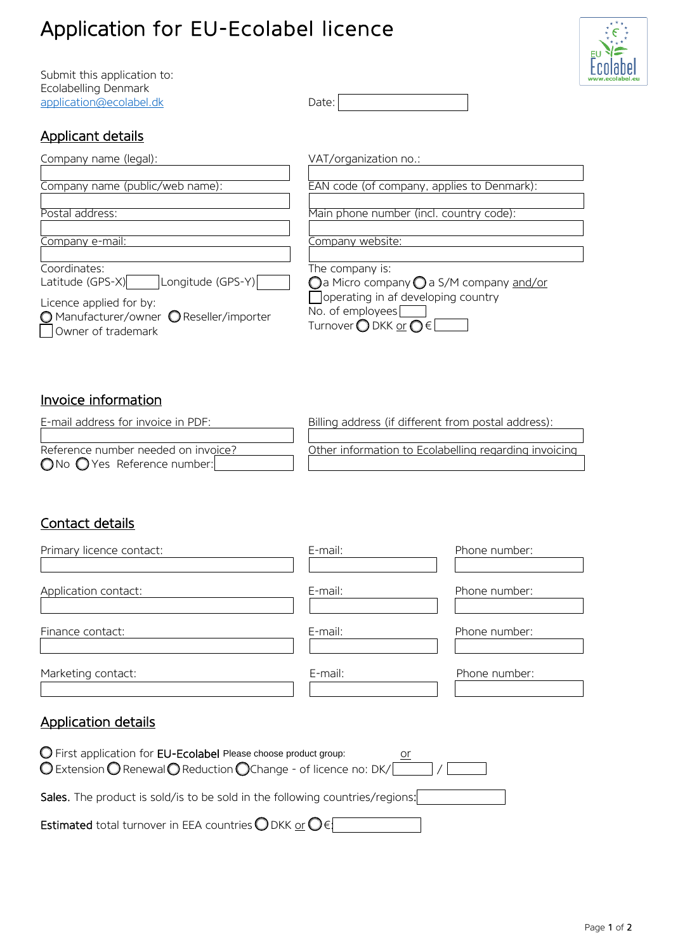# Application for EU-Ecolabel licence

Submit this application to: Ecolabelling Denmark [application@ecolabel.dk](mailto:application@ecolabel.dk) Date:



# Applicant details

| Company name (legal):                                                                     | VAT/organization no.:                                                                               |
|-------------------------------------------------------------------------------------------|-----------------------------------------------------------------------------------------------------|
| Company name (public/web name):                                                           | EAN code (of company, applies to Denmark):                                                          |
| Postal address:                                                                           | Main phone number (incl. country code):                                                             |
| Company e-mail:                                                                           | Company website:                                                                                    |
| Coordinates:                                                                              | The company is:                                                                                     |
| Longitude (GPS-Y)<br>Latitude (GPS-X)                                                     | $\bigcirc$ a Micro company $\bigcirc$ a S/M company and/or                                          |
| Licence applied for by:<br>O Manufacturer/owner O Reseller/importer<br>Owner of trademark | operating in af developing country<br>No. of employees<br>Turnover $\bigcirc$ DKK or $\bigcirc \in$ |

#### $\overline{a}$ Invoice information

| E-mail address for invoice in PDF:           | Billing address (if different from postal address):   |
|----------------------------------------------|-------------------------------------------------------|
|                                              |                                                       |
| Reference number needed on invoice?          | Other information to Ecolabelling regarding invoicing |
| $\bigcap$ No $\bigcap$ Yes Reference number: |                                                       |

# Contact details

| Primary licence contact:                                                                                                           | E-mail: | Phone number: |
|------------------------------------------------------------------------------------------------------------------------------------|---------|---------------|
|                                                                                                                                    |         |               |
| Application contact:                                                                                                               | E-mail: | Phone number: |
|                                                                                                                                    |         |               |
| Finance contact:                                                                                                                   | E-mail: | Phone number: |
|                                                                                                                                    |         |               |
| Marketing contact:                                                                                                                 | E-mail: | Phone number: |
|                                                                                                                                    |         |               |
| <b>Application details</b>                                                                                                         |         |               |
| O First application for EU-Ecolabel Please choose product group:<br>○ Extension ● Renewal ● Reduction ● Change - of licence no: DK |         |               |
| Sales. The product is sold/is to be sold in the following countries/regions:                                                       |         |               |
| <b>Estimated</b> total turnover in EEA countries ODKK or $\bigcirc$ $\in$                                                          |         |               |